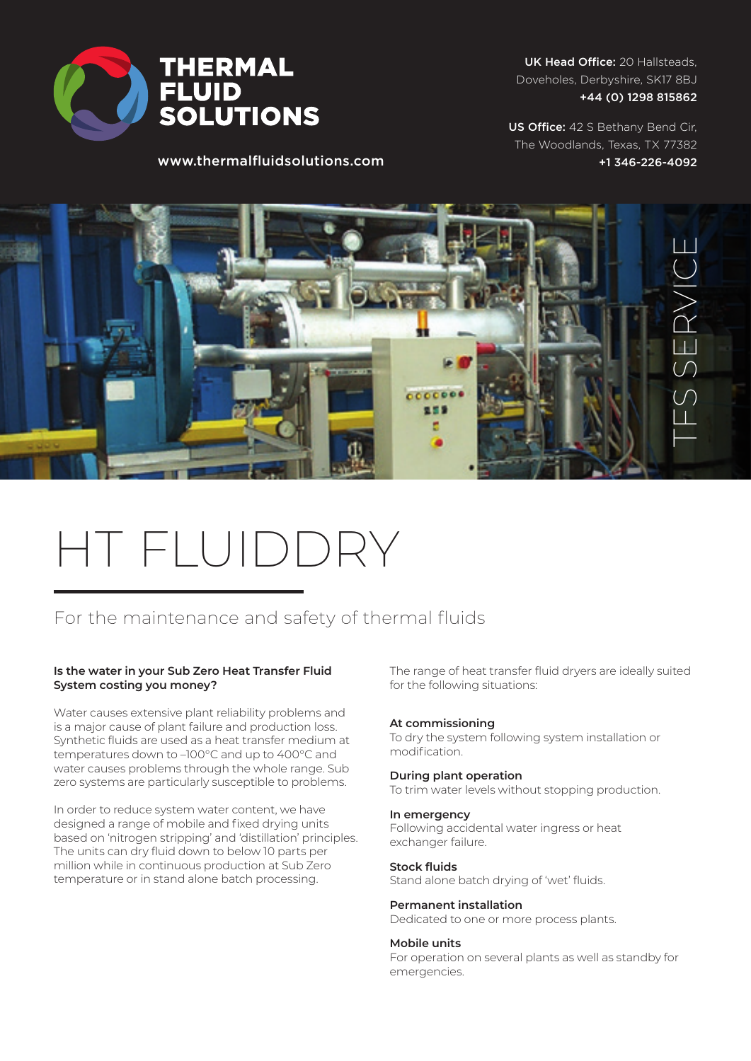

UK Head Office: 20 Hallsteads, Doveholes, Derbyshire, SK17 8BJ +44 (0) 1298 815862

US Office: 42 S Bethany Bend Cir, The Woodlands, Texas, TX 77382 +1 346-226-4092

www.thermalfluidsolutions.com



# HT FLUIDDRY

## For the maintenance and safety of thermal fluids

## **Is the water in your Sub Zero Heat Transfer Fluid System costing you money?**

Water causes extensive plant reliability problems and is a major cause of plant failure and production loss. Synthetic fluids are used as a heat transfer medium at temperatures down to –100°C and up to 400°C and water causes problems through the whole range. Sub zero systems are particularly susceptible to problems.

In order to reduce system water content, we have designed a range of mobile and fixed drying units based on 'nitrogen stripping' and 'distillation' principles. The units can dry fluid down to below 10 parts per million while in continuous production at Sub Zero temperature or in stand alone batch processing.

The range of heat transfer fluid dryers are ideally suited for the following situations:

## **At commissioning**

To dry the system following system installation or modification.

## **During plant operation**

To trim water levels without stopping production.

## **In emergency**

Following accidental water ingress or heat exchanger failure.

#### **Stock fluids**

Stand alone batch drying of 'wet' fluids.

## **Permanent installation**

Dedicated to one or more process plants.

## **Mobile units**

For operation on several plants as well as standby for emergencies.